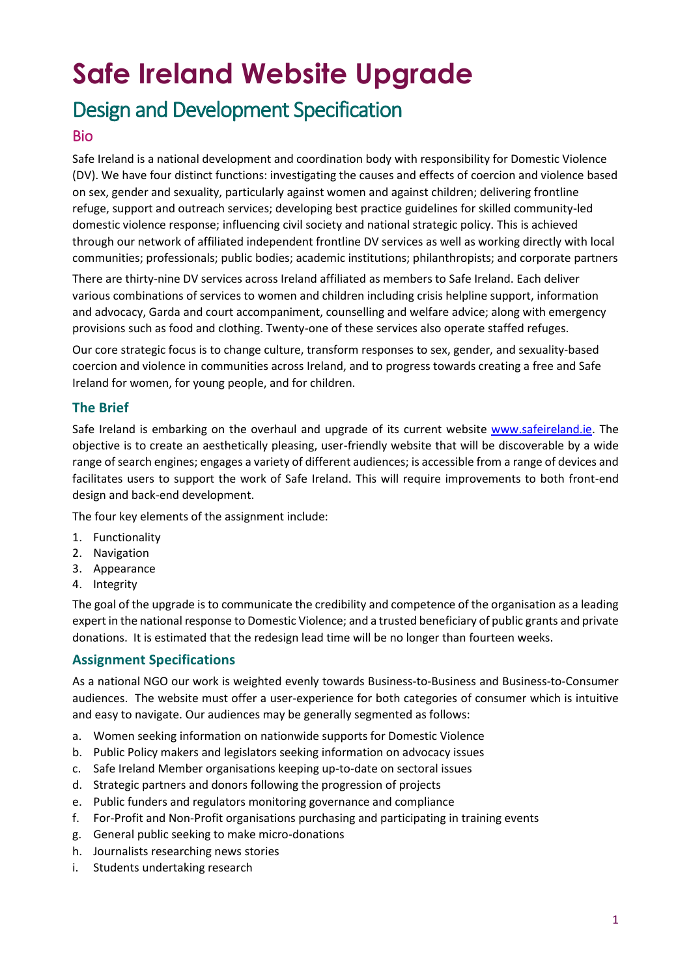# **Safe Ireland Website Upgrade**

## Design and Development Specification

### Bio

Safe Ireland is a national development and coordination body with responsibility for Domestic Violence (DV). We have four distinct functions: investigating the causes and effects of coercion and violence based on sex, gender and sexuality, particularly against women and against children; delivering frontline refuge, support and outreach services; developing best practice guidelines for skilled community-led domestic violence response; influencing civil society and national strategic policy. This is achieved through our network of affiliated independent frontline DV services as well as working directly with local communities; professionals; public bodies; academic institutions; philanthropists; and corporate partners

There are thirty-nine DV services across Ireland affiliated as members to Safe Ireland. Each deliver various combinations of services to women and children including crisis helpline support, information and advocacy, Garda and court accompaniment, counselling and welfare advice; along with emergency provisions such as food and clothing. Twenty-one of these services also operate staffed refuges.

Our core strategic focus is to change culture, transform responses to sex, gender, and sexuality-based coercion and violence in communities across Ireland, and to progress towards creating a free and Safe Ireland for women, for young people, and for children.

#### **The Brief**

Safe Ireland is embarking on the overhaul and upgrade of its current website [www.safeireland.ie.](http://www.safeireland.ie/) The objective is to create an aesthetically pleasing, user-friendly website that will be discoverable by a wide range of search engines; engages a variety of different audiences; is accessible from a range of devices and facilitates users to support the work of Safe Ireland. This will require improvements to both front-end design and back-end development.

The four key elements of the assignment include:

- 1. Functionality
- 2. Navigation
- 3. Appearance
- 4. Integrity

The goal of the upgrade is to communicate the credibility and competence of the organisation as a leading expert in the national response to Domestic Violence; and a trusted beneficiary of public grants and private donations. It is estimated that the redesign lead time will be no longer than fourteen weeks.

#### **Assignment Specifications**

As a national NGO our work is weighted evenly towards Business-to-Business and Business-to-Consumer audiences. The website must offer a user-experience for both categories of consumer which is intuitive and easy to navigate. Our audiences may be generally segmented as follows:

- a. Women seeking information on nationwide supports for Domestic Violence
- b. Public Policy makers and legislators seeking information on advocacy issues
- c. Safe Ireland Member organisations keeping up-to-date on sectoral issues
- d. Strategic partners and donors following the progression of projects
- e. Public funders and regulators monitoring governance and compliance
- f. For-Profit and Non-Profit organisations purchasing and participating in training events
- g. General public seeking to make micro-donations
- h. Journalists researching news stories
- i. Students undertaking research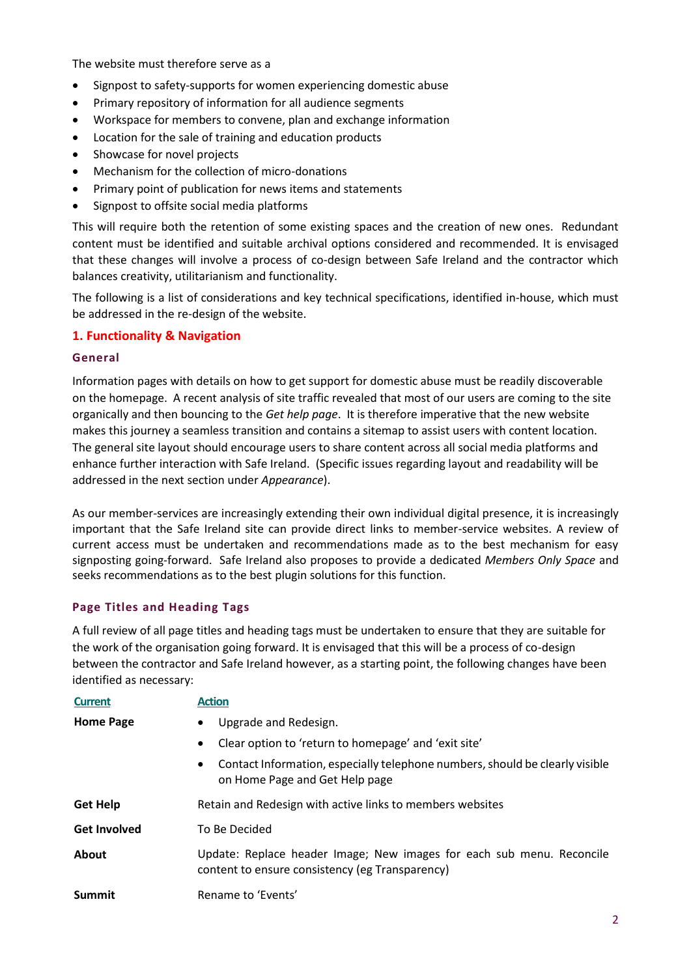The website must therefore serve as a

- Signpost to safety-supports for women experiencing domestic abuse
- Primary repository of information for all audience segments
- Workspace for members to convene, plan and exchange information
- Location for the sale of training and education products
- Showcase for novel projects
- Mechanism for the collection of micro-donations
- Primary point of publication for news items and statements
- Signpost to offsite social media platforms

This will require both the retention of some existing spaces and the creation of new ones. Redundant content must be identified and suitable archival options considered and recommended. It is envisaged that these changes will involve a process of co-design between Safe Ireland and the contractor which balances creativity, utilitarianism and functionality.

The following is a list of considerations and key technical specifications, identified in-house, which must be addressed in the re-design of the website.

#### **1. Functionality & Navigation**

#### **General**

Information pages with details on how to get support for domestic abuse must be readily discoverable on the homepage. A recent analysis of site traffic revealed that most of our users are coming to the site organically and then bouncing to the *Get help page*. It is therefore imperative that the new website makes this journey a seamless transition and contains a sitemap to assist users with content location. The general site layout should encourage users to share content across all social media platforms and enhance further interaction with Safe Ireland. (Specific issues regarding layout and readability will be addressed in the next section under *Appearance*).

As our member-services are increasingly extending their own individual digital presence, it is increasingly important that the Safe Ireland site can provide direct links to member-service websites. A review of current access must be undertaken and recommendations made as to the best mechanism for easy signposting going-forward. Safe Ireland also proposes to provide a dedicated *Members Only Space* and seeks recommendations as to the best plugin solutions for this function.

#### **Page Titles and Heading Tags**

A full review of all page titles and heading tags must be undertaken to ensure that they are suitable for the work of the organisation going forward. It is envisaged that this will be a process of co-design between the contractor and Safe Ireland however, as a starting point, the following changes have been identified as necessary:

| <b>Current</b>      | <b>Action</b>                                                                                                               |
|---------------------|-----------------------------------------------------------------------------------------------------------------------------|
| <b>Home Page</b>    | Upgrade and Redesign.<br>$\bullet$                                                                                          |
|                     | Clear option to 'return to homepage' and 'exit site'<br>$\bullet$                                                           |
|                     | Contact Information, especially telephone numbers, should be clearly visible<br>$\bullet$<br>on Home Page and Get Help page |
| <b>Get Help</b>     | Retain and Redesign with active links to members websites                                                                   |
| <b>Get Involved</b> | To Be Decided                                                                                                               |
| About               | Update: Replace header Image; New images for each sub menu. Reconcile<br>content to ensure consistency (eg Transparency)    |
| Summit              | Rename to 'Events'                                                                                                          |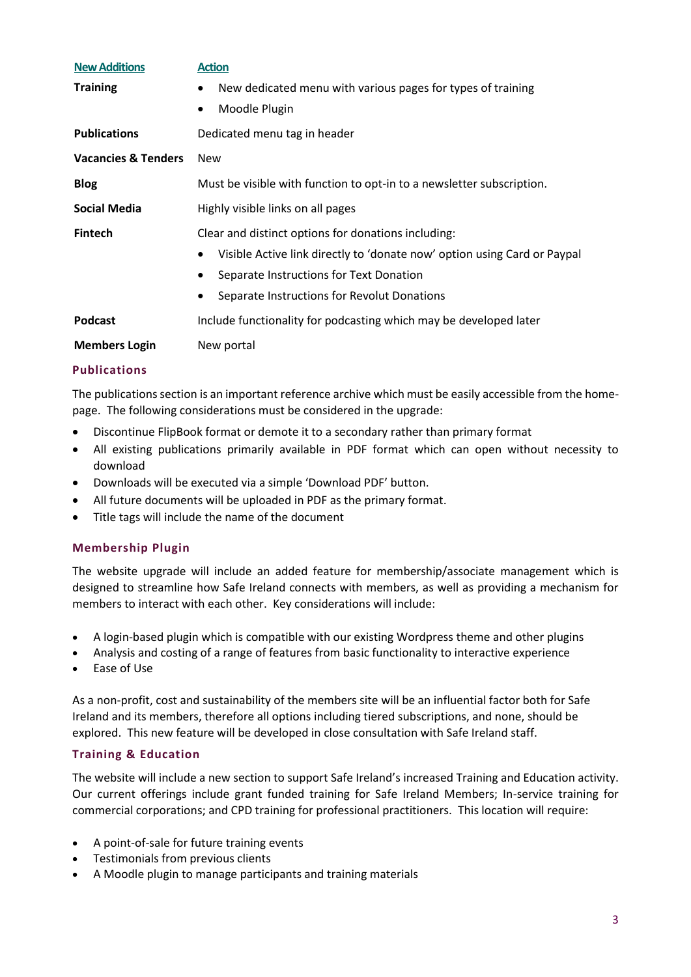| <b>New Additions</b>           | <b>Action</b>                                                                 |
|--------------------------------|-------------------------------------------------------------------------------|
| <b>Training</b>                | New dedicated menu with various pages for types of training<br>٠              |
|                                | Moodle Plugin<br>٠                                                            |
| <b>Publications</b>            | Dedicated menu tag in header                                                  |
| <b>Vacancies &amp; Tenders</b> | <b>New</b>                                                                    |
| <b>Blog</b>                    | Must be visible with function to opt-in to a newsletter subscription.         |
| Social Media                   | Highly visible links on all pages                                             |
| <b>Fintech</b>                 | Clear and distinct options for donations including:                           |
|                                | Visible Active link directly to 'donate now' option using Card or Paypal<br>٠ |
|                                | Separate Instructions for Text Donation<br>٠                                  |
|                                | Separate Instructions for Revolut Donations<br>$\bullet$                      |
| <b>Podcast</b>                 | Include functionality for podcasting which may be developed later             |
| <b>Members Login</b>           | New portal                                                                    |

#### **Publications**

The publications section is an important reference archive which must be easily accessible from the homepage. The following considerations must be considered in the upgrade:

- Discontinue FlipBook format or demote it to a secondary rather than primary format
- All existing publications primarily available in PDF format which can open without necessity to download
- Downloads will be executed via a simple 'Download PDF' button.
- All future documents will be uploaded in PDF as the primary format.
- Title tags will include the name of the document

#### **Membership Plugin**

The website upgrade will include an added feature for membership/associate management which is designed to streamline how Safe Ireland connects with members, as well as providing a mechanism for members to interact with each other. Key considerations will include:

- A login-based plugin which is compatible with our existing Wordpress theme and other plugins
- Analysis and costing of a range of features from basic functionality to interactive experience
- Ease of Use

As a non-profit, cost and sustainability of the members site will be an influential factor both for Safe Ireland and its members, therefore all options including tiered subscriptions, and none, should be explored. This new feature will be developed in close consultation with Safe Ireland staff.

#### **Training & Education**

The website will include a new section to support Safe Ireland's increased Training and Education activity. Our current offerings include grant funded training for Safe Ireland Members; In-service training for commercial corporations; and CPD training for professional practitioners. This location will require:

- A point-of-sale for future training events
- Testimonials from previous clients
- A Moodle plugin to manage participants and training materials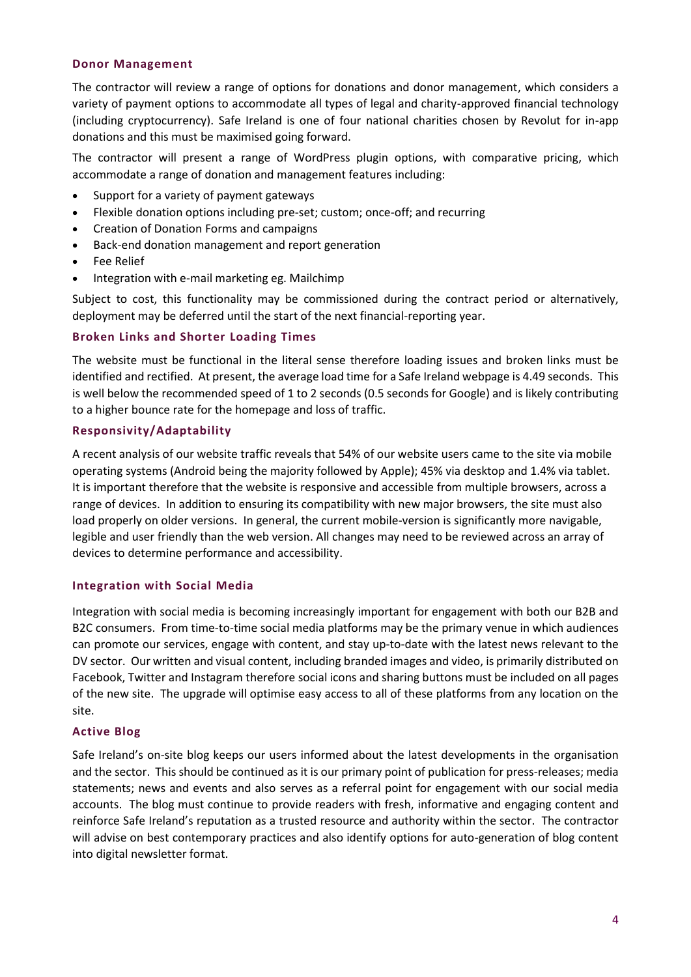#### **Donor Management**

The contractor will review a range of options for donations and donor management, which considers a variety of payment options to accommodate all types of legal and charity-approved financial technology (including cryptocurrency). Safe Ireland is one of four national charities chosen by Revolut for in-app donations and this must be maximised going forward.

The contractor will present a range of WordPress plugin options, with comparative pricing, which accommodate a range of donation and management features including:

- Support for a variety of payment gateways
- Flexible donation options including pre-set; custom; once-off; and recurring
- Creation of Donation Forms and campaigns
- Back-end donation management and report generation
- Fee Relief
- Integration with e-mail marketing eg. Mailchimp

Subject to cost, this functionality may be commissioned during the contract period or alternatively, deployment may be deferred until the start of the next financial-reporting year.

#### **Broken Links and Shorter Loading Times**

The website must be functional in the literal sense therefore loading issues and broken links must be identified and rectified. At present, the average load time for a Safe Ireland webpage is 4.49 seconds. This is well below the recommended speed of 1 to 2 seconds (0.5 seconds for Google) and is likely contributing to a higher bounce rate for the homepage and loss of traffic.

#### **Responsivity/Adaptability**

A recent analysis of our website traffic reveals that 54% of our website users came to the site via mobile operating systems (Android being the majority followed by Apple); 45% via desktop and 1.4% via tablet. It is important therefore that the website is responsive and accessible from multiple browsers, across a range of devices. In addition to ensuring its compatibility with new major browsers, the site must also load properly on older versions. In general, the current mobile-version is significantly more navigable, legible and user friendly than the web version. All changes may need to be reviewed across an array of devices to determine performance and accessibility.

#### **Integration with Social Media**

Integration with social media is becoming increasingly important for engagement with both our B2B and B2C consumers. From time-to-time social media platforms may be the primary venue in which audiences can promote our services, engage with content, and stay up-to-date with the latest news relevant to the DV sector. Our written and visual content, including branded images and video, is primarily distributed on Facebook, Twitter and Instagram therefore social icons and sharing buttons must be included on all pages of the new site. The upgrade will optimise easy access to all of these platforms from any location on the site.

#### **Active Blog**

Safe Ireland's on-site blog keeps our users informed about the latest developments in the organisation and the sector. This should be continued as it is our primary point of publication for press-releases; media statements; news and events and also serves as a referral point for engagement with our social media accounts. The blog must continue to provide readers with fresh, informative and engaging content and reinforce Safe Ireland's reputation as a trusted resource and authority within the sector. The contractor will advise on best contemporary practices and also identify options for auto-generation of blog content into digital newsletter format.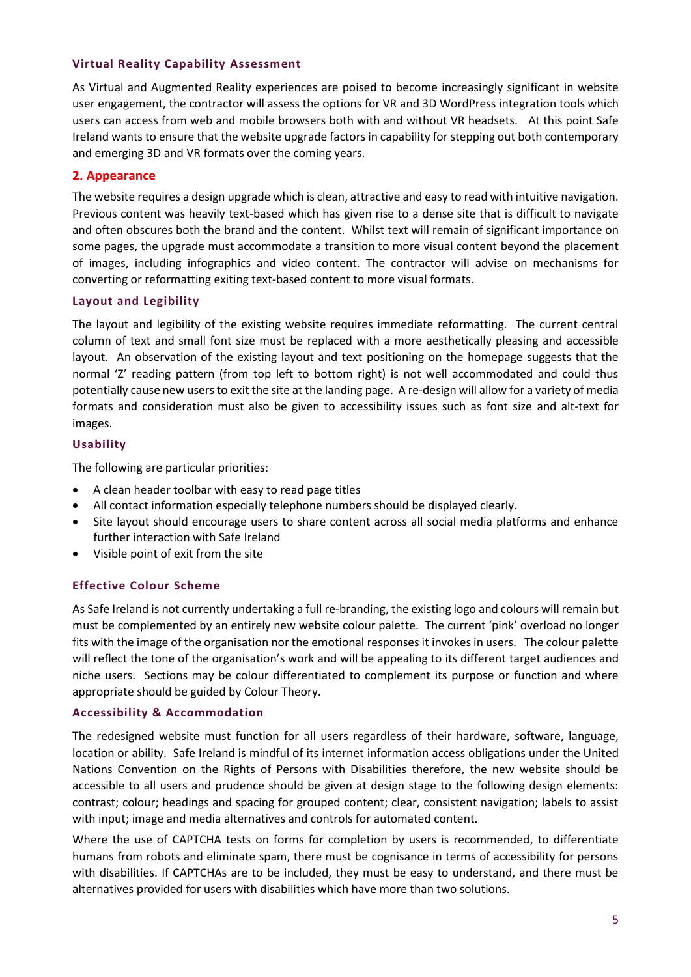#### **Virtual Reality Capability Assessment**

As Virtual and Augmented Reality experiences are poised to become increasingly significant in website user engagement, the contractor will assess the options for VR and 3D WordPress integration tools which users can access from web and mobile browsers both with and without VR headsets. At this point Safe Ireland wants to ensure that the website upgrade factors in capability for stepping out both contemporary and emerging 3D and VR formats over the coming years.

#### **2. Appearance**

The website requires a design upgrade which is clean, attractive and easy to read with intuitive navigation. Previous content was heavily text-based which has given rise to a dense site that is difficult to navigate and often obscures both the brand and the content. Whilst text will remain of significant importance on some pages, the upgrade must accommodate a transition to more visual content beyond the placement of images, including infographics and video content. The contractor will advise on mechanisms for converting or reformatting exiting text-based content to more visual formats.

#### **Layout and Legibility**

The layout and legibility of the existing website requires immediate reformatting. The current central column of text and small font size must be replaced with a more aesthetically pleasing and accessible layout. An observation of the existing layout and text positioning on the homepage suggests that the normal 'Z' reading pattern (from top left to bottom right) is not well accommodated and could thus potentially cause new users to exit the site at the landing page. A re-design will allow for a variety of media formats and consideration must also be given to accessibility issues such as font size and alt-text for images.

#### **Usability**

The following are particular priorities:

- A clean header toolbar with easy to read page titles
- All contact information especially telephone numbers should be displayed clearly.
- Site layout should encourage users to share content across all social media platforms and enhance further interaction with Safe Ireland
- Visible point of exit from the site

#### **Effective Colour Scheme**

As Safe Ireland is not currently undertaking a full re-branding, the existing logo and colours will remain but must be complemented by an entirely new website colour palette. The current 'pink' overload no longer fits with the image of the organisation nor the emotional responses it invokes in users. The colour palette will reflect the tone of the organisation's work and will be appealing to its different target audiences and niche users. Sections may be colour differentiated to complement its purpose or function and where appropriate should be guided by Colour Theory.

#### **Accessibility & Accommodation**

The redesigned website must function for all users regardless of their hardware, software, language, location or ability. Safe Ireland is mindful of its internet information access obligations under the United Nations Convention on the Rights of Persons with Disabilities therefore, the new website should be accessible to all users and prudence should be given at design stage to the following design elements: contrast; colour; headings and spacing for grouped content; clear, consistent navigation; labels to assist with input; image and media alternatives and controls for automated content.

Where the use of CAPTCHA tests on forms for completion by users is recommended, to differentiate humans from robots and eliminate spam, there must be cognisance in terms of accessibility for persons with disabilities. If CAPTCHAs are to be included, they must be easy to understand, and there must be alternatives provided for users with disabilities which have more than two solutions.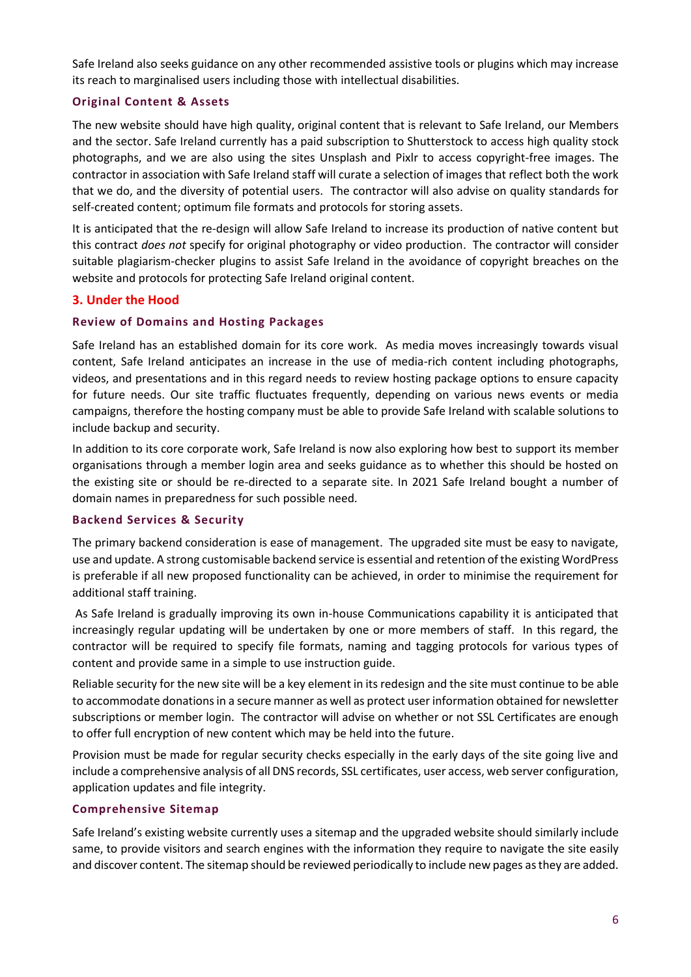Safe Ireland also seeks guidance on any other recommended assistive tools or plugins which may increase its reach to marginalised users including those with intellectual disabilities.

#### **Original Content & Assets**

The new website should have high quality, original content that is relevant to Safe Ireland, our Members and the sector. Safe Ireland currently has a paid subscription to Shutterstock to access high quality stock photographs, and we are also using the sites Unsplash and Pixlr to access copyright-free images. The contractor in association with Safe Ireland staff will curate a selection of images that reflect both the work that we do, and the diversity of potential users. The contractor will also advise on quality standards for self-created content; optimum file formats and protocols for storing assets.

It is anticipated that the re-design will allow Safe Ireland to increase its production of native content but this contract *does not* specify for original photography or video production. The contractor will consider suitable plagiarism-checker plugins to assist Safe Ireland in the avoidance of copyright breaches on the website and protocols for protecting Safe Ireland original content.

#### **3. Under the Hood**

#### **Review of Domains and Hosting Packages**

Safe Ireland has an established domain for its core work. As media moves increasingly towards visual content, Safe Ireland anticipates an increase in the use of media-rich content including photographs, videos, and presentations and in this regard needs to review hosting package options to ensure capacity for future needs. Our site traffic fluctuates frequently, depending on various news events or media campaigns, therefore the hosting company must be able to provide Safe Ireland with scalable solutions to include backup and security.

In addition to its core corporate work, Safe Ireland is now also exploring how best to support its member organisations through a member login area and seeks guidance as to whether this should be hosted on the existing site or should be re-directed to a separate site. In 2021 Safe Ireland bought a number of domain names in preparedness for such possible need.

#### **Backend Services & Security**

The primary backend consideration is ease of management. The upgraded site must be easy to navigate, use and update. A strong customisable backend service is essential and retention of the existing WordPress is preferable if all new proposed functionality can be achieved, in order to minimise the requirement for additional staff training.

As Safe Ireland is gradually improving its own in-house Communications capability it is anticipated that increasingly regular updating will be undertaken by one or more members of staff. In this regard, the contractor will be required to specify file formats, naming and tagging protocols for various types of content and provide same in a simple to use instruction guide.

Reliable security for the new site will be a key element in its redesign and the site must continue to be able to accommodate donations in a secure manner as well as protect user information obtained for newsletter subscriptions or member login. The contractor will advise on whether or not SSL Certificates are enough to offer full encryption of new content which may be held into the future.

Provision must be made for regular security checks especially in the early days of the site going live and include a comprehensive analysis of all DNS records, SSL certificates, user access, web server configuration, application updates and file integrity.

#### **Comprehensive Sitemap**

Safe Ireland's existing website currently uses a sitemap and the upgraded website should similarly include same, to provide visitors and search engines with the information they require to navigate the site easily and discover content. The sitemap should be reviewed periodically to include new pages as they are added.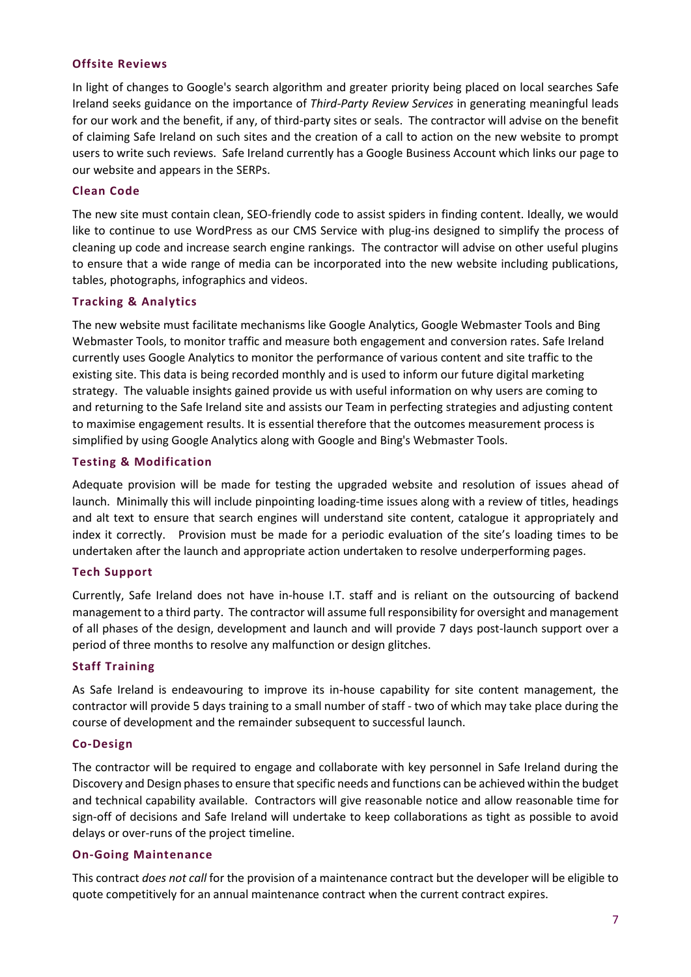#### **Offsite Reviews**

In light of changes to Google's search algorithm and greater priority being placed on local searches Safe Ireland seeks guidance on the importance of *Third-Party Review Services* in generating meaningful leads for our work and the benefit, if any, of third-party sites or seals. The contractor will advise on the benefit of claiming Safe Ireland on such sites and the creation of a call to action on the new website to prompt users to write such reviews. Safe Ireland currently has a Google Business Account which links our page to our website and appears in the SERPs.

#### **Clean Code**

The new site must contain clean, SEO-friendly code to assist spiders in finding content. Ideally, we would like to continue to use WordPress as our CMS Service with plug-ins designed to simplify the process of cleaning up code and increase search engine rankings. The contractor will advise on other useful plugins to ensure that a wide range of media can be incorporated into the new website including publications, tables, photographs, infographics and videos.

#### **Tracking & Analytics**

The new website must facilitate mechanisms like Google Analytics, Google Webmaster Tools and Bing Webmaster Tools, to monitor traffic and measure both engagement and conversion rates. Safe Ireland currently uses Google Analytics to monitor the performance of various content and site traffic to the existing site. This data is being recorded monthly and is used to inform our future digital marketing strategy. The valuable insights gained provide us with useful information on why users are coming to and returning to the Safe Ireland site and assists our Team in perfecting strategies and adjusting content to maximise engagement results. It is essential therefore that the outcomes measurement process is simplified by using Google Analytics along with Google and Bing's Webmaster Tools.

#### **Testing & Modification**

Adequate provision will be made for testing the upgraded website and resolution of issues ahead of launch. Minimally this will include pinpointing loading-time issues along with a review of titles, headings and alt text to ensure that search engines will understand site content, catalogue it appropriately and index it correctly. Provision must be made for a periodic evaluation of the site's loading times to be undertaken after the launch and appropriate action undertaken to resolve underperforming pages.

#### **Tech Support**

Currently, Safe Ireland does not have in-house I.T. staff and is reliant on the outsourcing of backend management to a third party. The contractor will assume full responsibility for oversight and management of all phases of the design, development and launch and will provide 7 days post-launch support over a period of three months to resolve any malfunction or design glitches.

#### **Staff Training**

As Safe Ireland is endeavouring to improve its in-house capability for site content management, the contractor will provide 5 days training to a small number of staff - two of which may take place during the course of development and the remainder subsequent to successful launch.

#### **Co-Design**

The contractor will be required to engage and collaborate with key personnel in Safe Ireland during the Discovery and Design phases to ensure that specific needs and functions can be achieved within the budget and technical capability available. Contractors will give reasonable notice and allow reasonable time for sign-off of decisions and Safe Ireland will undertake to keep collaborations as tight as possible to avoid delays or over-runs of the project timeline.

#### **On-Going Maintenance**

This contract *does not call* for the provision of a maintenance contract but the developer will be eligible to quote competitively for an annual maintenance contract when the current contract expires.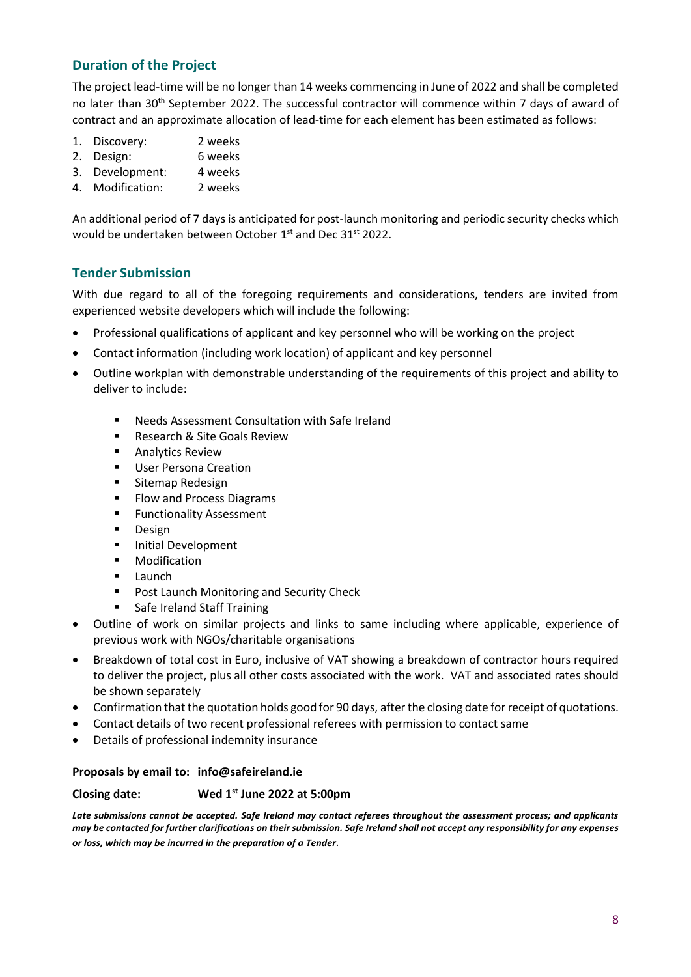### **Duration of the Project**

The project lead-time will be no longer than 14 weeks commencing in June of 2022 and shall be completed no later than 30<sup>th</sup> September 2022. The successful contractor will commence within 7 days of award of contract and an approximate allocation of lead-time for each element has been estimated as follows:

- 1. Discovery: 2 weeks
- 2. Design: 6 weeks
- 3. Development: 4 weeks
- 4. Modification: 2 weeks

An additional period of 7 days is anticipated for post-launch monitoring and periodic security checks which would be undertaken between October 1<sup>st</sup> and Dec 31<sup>st</sup> 2022.

#### **Tender Submission**

With due regard to all of the foregoing requirements and considerations, tenders are invited from experienced website developers which will include the following:

- Professional qualifications of applicant and key personnel who will be working on the project
- Contact information (including work location) of applicant and key personnel
- Outline workplan with demonstrable understanding of the requirements of this project and ability to deliver to include:
	- Needs Assessment Consultation with Safe Ireland
	- Research & Site Goals Review
	- Analytics Review
	- User Persona Creation
	- Sitemap Redesign
	- Flow and Process Diagrams
	- **EXECUTE: Functionality Assessment**
	- Design
	- Initial Development
	- **Modification**
	- Launch
	- Post Launch Monitoring and Security Check
	- Safe Ireland Staff Training
- Outline of work on similar projects and links to same including where applicable, experience of previous work with NGOs/charitable organisations
- Breakdown of total cost in Euro, inclusive of VAT showing a breakdown of contractor hours required to deliver the project, plus all other costs associated with the work. VAT and associated rates should be shown separately
- Confirmation that the quotation holds good for 90 days, after the closing date for receipt of quotations.
- Contact details of two recent professional referees with permission to contact same
- Details of professional indemnity insurance

#### **Proposals by email to: info@safeireland.ie**

#### **Closing date: st June 2022 at 5:00pm**

*Late submissions cannot be accepted. Safe Ireland may contact referees throughout the assessment process; and applicants may be contacted for further clarifications on their submission. Safe Ireland shall not accept any responsibility for any expenses or loss, which may be incurred in the preparation of a Tender.*